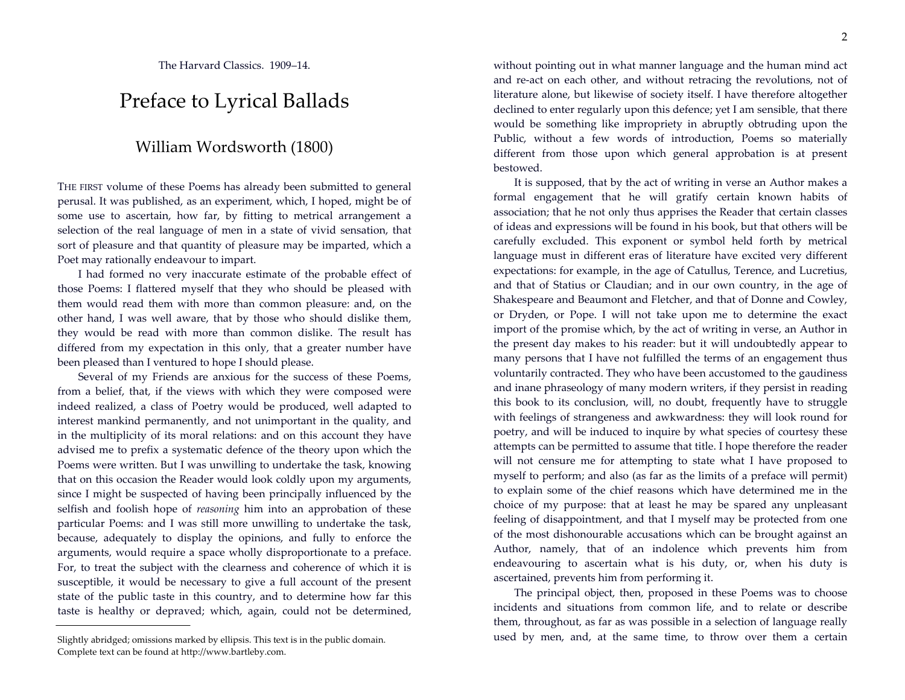The Harvard Classics. 1909–14.

## Preface to Lyrical Ballads

## William Wordsworth (1800)

THE FIRST volume of these Poems has already been submitted to general perusal. It was published, as an experiment, which, I hoped, might be of some use to ascertain, how far, by fitting to metrical arrangement a selection of the real language of men in a state of vivid sensation, that sort of pleasure and that quantity of pleasure may be imparted, which a Poet may rationally endeavour to impart.

I had formed no very inaccurate estimate of the probable effect of those Poems: I flattered myself that they who should be pleased with them would read them with more than common pleasure: and, on the other hand, I was well aware, that by those who should dislike them, they would be read with more than common dislike. The result has differed from my expectation in this only, that a greater number have been pleased than I ventured to hope I should please.

Several of my Friends are anxious for the success of these Poems, from a belief, that, if the views with which they were composed were indeed realized, a class of Poetry would be produced, well adapted to interest mankind permanently, and not unimportant in the quality, and in the multiplicity of its moral relations: and on this account they have advised me to prefix a systematic defence of the theory upon which the Poems were written. But I was unwilling to undertake the task, knowing that on this occasion the Reader would look coldly upon my arguments, since I might be suspected of having been principally influenced by the selfish and foolish hope of *reasoning* him into an approbation of these particular Poems: and I was still more unwilling to undertake the task, because, adequately to display the opinions, and fully to enforce the arguments, would require a space wholly disproportionate to a preface. For, to treat the subject with the clearness and coherence of which it is susceptible, it would be necessary to give a full account of the present state of the public taste in this country, and to determine how far this taste is healthy or depraved; which, again, could not be determined,

without pointing out in what manner language and the human mind act and re-act on each other, and without retracing the revolutions, not of literature alone, but likewise of society itself. I have therefore altogether declined to enter regularly upon this defence; yet I am sensible, that there would be something like impropriety in abruptly obtruding upon the Public, without a few words of introduction, Poems so materially different from those upon which general approbation is at present bestowed.

It is supposed, that by the act of writing in verse an Author makes a formal engagement that he will gratify certain known habits of association; that he not only thus apprises the Reader that certain classes of ideas and expressions will be found in his book, but that others will be carefully excluded. This exponent or symbol held forth by metrical language must in different eras of literature have excited very different expectations: for example, in the age of Catullus, Terence, and Lucretius, and that of Statius or Claudian; and in our own country, in the age of Shakespeare and Beaumont and Fletcher, and that of Donne and Cowley, or Dryden, or Pope. I will not take upon me to determine the exact import of the promise which, by the act of writing in verse, an Author in the present day makes to his reader: but it will undoubtedly appear to many persons that I have not fulfilled the terms of an engagement thus voluntarily contracted. They who have been accustomed to the gaudiness and inane phraseology of many modern writers, if they persist in reading this book to its conclusion, will, no doubt, frequently have to struggle with feelings of strangeness and awkwardness: they will look round for poetry, and will be induced to inquire by what species of courtesy these attempts can be permitted to assume that title. I hope therefore the reader will not censure me for attempting to state what I have proposed to myself to perform; and also (as far as the limits of a preface will permit) to explain some of the chief reasons which have determined me in the choice of my purpose: that at least he may be spared any unpleasant feeling of disappointment, and that I myself may be protected from one of the most dishonourable accusations which can be brought against an Author, namely, that of an indolence which prevents him from endeavouring to ascertain what is his duty, or, when his duty is ascertained, prevents him from performing it.

The principal object, then, proposed in these Poems was to choose incidents and situations from common life, and to relate or describe them, throughout, as far as was possible in a selection of language really used by men, and, at the same time, to throw over them a certain

Slightly abridged; omissions marked by ellipsis. This text is in the public domain. Complete text can be found at http://www.bartleby.com.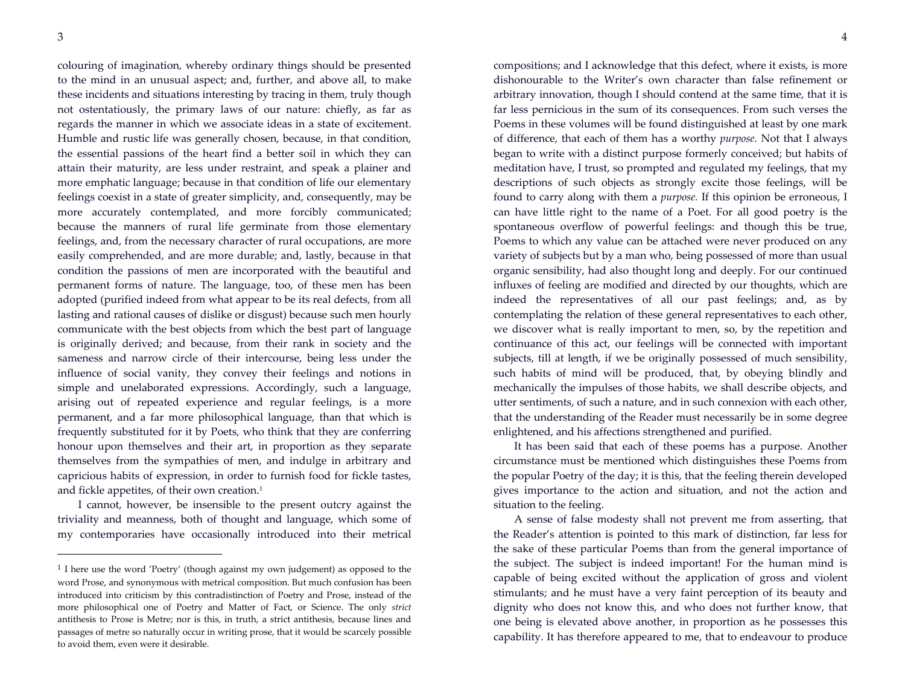colouring of imagination, whereby ordinary things should be presented to the mind in an unusual aspect; and, further, and above all, to make these incidents and situations interesting by tracing in them, truly though not ostentatiously, the primary laws of our nature: chiefly, as far as regards the manner in which we associate ideas in a state of excitement. Humble and rustic life was generally chosen, because, in that condition, the essential passions of the heart find a better soil in which they can attain their maturity, are less under restraint, and speak a plainer and more emphatic language; because in that condition of life our elementary feelings coexist in a state of greater simplicity, and, consequently, may be more accurately contemplated, and more forcibly communicated; because the manners of rural life germinate from those elementary feelings, and, from the necessary character of rural occupations, are more easily comprehended, and are more durable; and, lastly, because in that condition the passions of men are incorporated with the beautiful and permanent forms of nature. The language, too, of these men has been adopted (purified indeed from what appear to be its real defects, from all lasting and rational causes of dislike or disgust) because such men hourly communicate with the best objects from which the best part of language is originally derived; and because, from their rank in society and the sameness and narrow circle of their intercourse, being less under the influence of social vanity, they convey their feelings and notions in simple and unelaborated expressions. Accordingly, such a language, arising out of repeated experience and regular feelings, is a more permanent, and a far more philosophical language, than that which is frequently substituted for it by Poets, who think that they are conferring honour upon themselves and their art, in proportion as they separate themselves from the sympathies of men, and indulge in arbitrary and capricious habits of expression, in order to furnish food for fickle tastes, and fickle appetites, of their own creation.<sup>1</sup>

I cannot, however, be insensible to the present outcry against the triviality and meanness, both of thought and language, which some of my contemporaries have occasionally introduced into their metrical

compositions; and I acknowledge that this defect, where it exists, is more dishonourable to the Writer's own character than false refinement or arbitrary innovation, though I should contend at the same time, that it is far less pernicious in the sum of its consequences. From such verses the Poems in these volumes will be found distinguished at least by one mark of difference, that each of them has a worthy *purpose.* Not that I always began to write with a distinct purpose formerly conceived; but habits of meditation have, I trust, so prompted and regulated my feelings, that my descriptions of such objects as strongly excite those feelings, will be found to carry along with them a *purpose.* If this opinion be erroneous, I can have little right to the name of a Poet. For all good poetry is the spontaneous overflow of powerful feelings: and though this be true, Poems to which any value can be attached were never produced on any variety of subjects but by a man who, being possessed of more than usual organic sensibility, had also thought long and deeply. For our continued influxes of feeling are modified and directed by our thoughts, which are indeed the representatives of all our past feelings; and, as by contemplating the relation of these general representatives to each other, we discover what is really important to men, so, by the repetition and continuance of this act, our feelings will be connected with important subjects, till at length, if we be originally possessed of much sensibility, such habits of mind will be produced, that, by obeying blindly and mechanically the impulses of those habits, we shall describe objects, and utter sentiments, of such a nature, and in such connexion with each other, that the understanding of the Reader must necessarily be in some degree enlightened, and his affections strengthened and purified.

It has been said that each of these poems has a purpose. Another circumstance must be mentioned which distinguishes these Poems from the popular Poetry of the day; it is this, that the feeling therein developed gives importance to the action and situation, and not the action and situation to the feeling.

A sense of false modesty shall not prevent me from asserting, that the Reader's attention is pointed to this mark of distinction, far less for the sake of these particular Poems than from the general importance of the subject. The subject is indeed important! For the human mind is capable of being excited without the application of gross and violent stimulants; and he must have a very faint perception of its beauty and dignity who does not know this, and who does not further know, that one being is elevated above another, in proportion as he possesses this capability. It has therefore appeared to me, that to endeavour to produce

<sup>&</sup>lt;sup>1</sup> I here use the word 'Poetry' (though against my own judgement) as opposed to the word Prose, and synonymous with metrical composition. But much confusion has been introduced into criticism by this contradistinction of Poetry and Prose, instead of the more philosophical one of Poetry and Matter of Fact, or Science. The only *strict* antithesis to Prose is Metre; nor is this, in truth, a strict antithesis, because lines and passages of metre so naturally occur in writing prose, that it would be scarcely possible to avoid them, even were it desirable.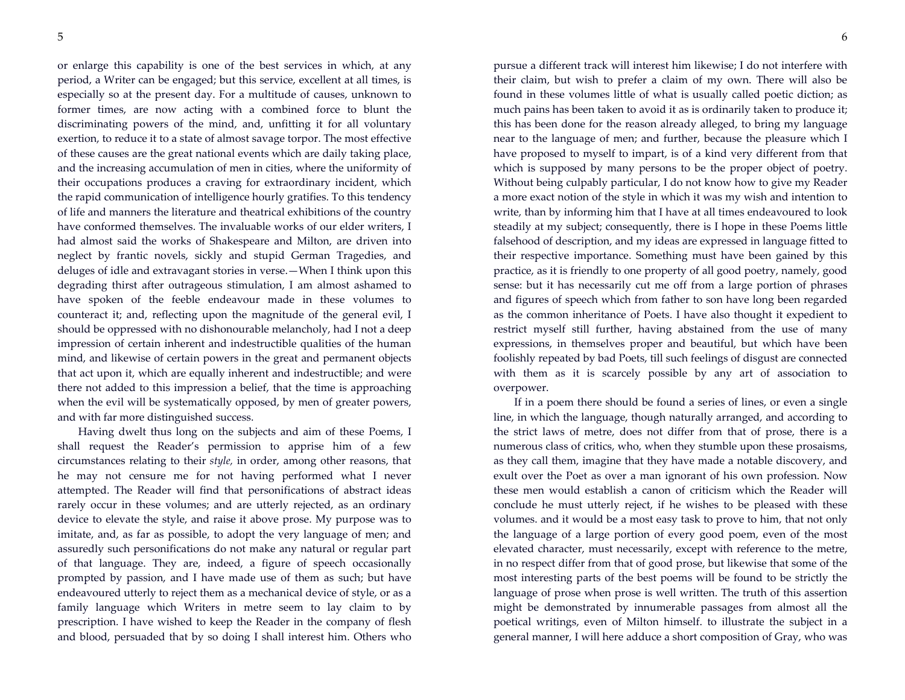or enlarge this capability is one of the best services in which, at any period, a Writer can be engaged; but this service, excellent at all times, is especially so at the present day. For a multitude of causes, unknown to former times, are now acting with a combined force to blunt the discriminating powers of the mind, and, unfitting it for all voluntary exertion, to reduce it to a state of almost savage torpor. The most effective of these causes are the great national events which are daily taking place, and the increasing accumulation of men in cities, where the uniformity of their occupations produces a craving for extraordinary incident, which the rapid communication of intelligence hourly gratifies. To this tendency of life and manners the literature and theatrical exhibitions of the country have conformed themselves. The invaluable works of our elder writers, I had almost said the works of Shakespeare and Milton, are driven into neglect by frantic novels, sickly and stupid German Tragedies, and deluges of idle and extravagant stories in verse.—When I think upon this degrading thirst after outrageous stimulation, I am almost ashamed to have spoken of the feeble endeavour made in these volumes to counteract it; and, reflecting upon the magnitude of the general evil, I should be oppressed with no dishonourable melancholy, had I not a deep impression of certain inherent and indestructible qualities of the human mind, and likewise of certain powers in the great and permanent objects that act upon it, which are equally inherent and indestructible; and were there not added to this impression a belief, that the time is approaching when the evil will be systematically opposed, by men of greater powers, and with far more distinguished success.

Having dwelt thus long on the subjects and aim of these Poems, I shall request the Reader's permission to apprise him of a few circumstances relating to their *style,* in order, among other reasons, that he may not censure me for not having performed what I never attempted. The Reader will find that personifications of abstract ideas rarely occur in these volumes; and are utterly rejected, as an ordinary device to elevate the style, and raise it above prose. My purpose was to imitate, and, as far as possible, to adopt the very language of men; and assuredly such personifications do not make any natural or regular part of that language. They are, indeed, a figure of speech occasionally prompted by passion, and I have made use of them as such; but have endeavoured utterly to reject them as a mechanical device of style, or as a family language which Writers in metre seem to lay claim to by prescription. I have wished to keep the Reader in the company of flesh and blood, persuaded that by so doing I shall interest him. Others who

pursue a different track will interest him likewise; I do not interfere with their claim, but wish to prefer a claim of my own. There will also be found in these volumes little of what is usually called poetic diction; as much pains has been taken to avoid it as is ordinarily taken to produce it; this has been done for the reason already alleged, to bring my language near to the language of men; and further, because the pleasure which I have proposed to myself to impart, is of a kind very different from that which is supposed by many persons to be the proper object of poetry. Without being culpably particular, I do not know how to give my Reader a more exact notion of the style in which it was my wish and intention to write, than by informing him that I have at all times endeavoured to look steadily at my subject; consequently, there is I hope in these Poems little falsehood of description, and my ideas are expressed in language fitted to their respective importance. Something must have been gained by this practice, as it is friendly to one property of all good poetry, namely, good sense: but it has necessarily cut me off from a large portion of phrases and figures of speech which from father to son have long been regarded as the common inheritance of Poets. I have also thought it expedient to restrict myself still further, having abstained from the use of many expressions, in themselves proper and beautiful, but which have been foolishly repeated by bad Poets, till such feelings of disgust are connected with them as it is scarcely possible by any art of association to overpower.

If in a poem there should be found a series of lines, or even a single line, in which the language, though naturally arranged, and according to the strict laws of metre, does not differ from that of prose, there is a numerous class of critics, who, when they stumble upon these prosaisms, as they call them, imagine that they have made a notable discovery, and exult over the Poet as over a man ignorant of his own profession. Now these men would establish a canon of criticism which the Reader will conclude he must utterly reject, if he wishes to be pleased with these volumes. and it would be a most easy task to prove to him, that not only the language of a large portion of every good poem, even of the most elevated character, must necessarily, except with reference to the metre, in no respect differ from that of good prose, but likewise that some of the most interesting parts of the best poems will be found to be strictly the language of prose when prose is well written. The truth of this assertion might be demonstrated by innumerable passages from almost all the poetical writings, even of Milton himself. to illustrate the subject in a general manner, I will here adduce a short composition of Gray, who was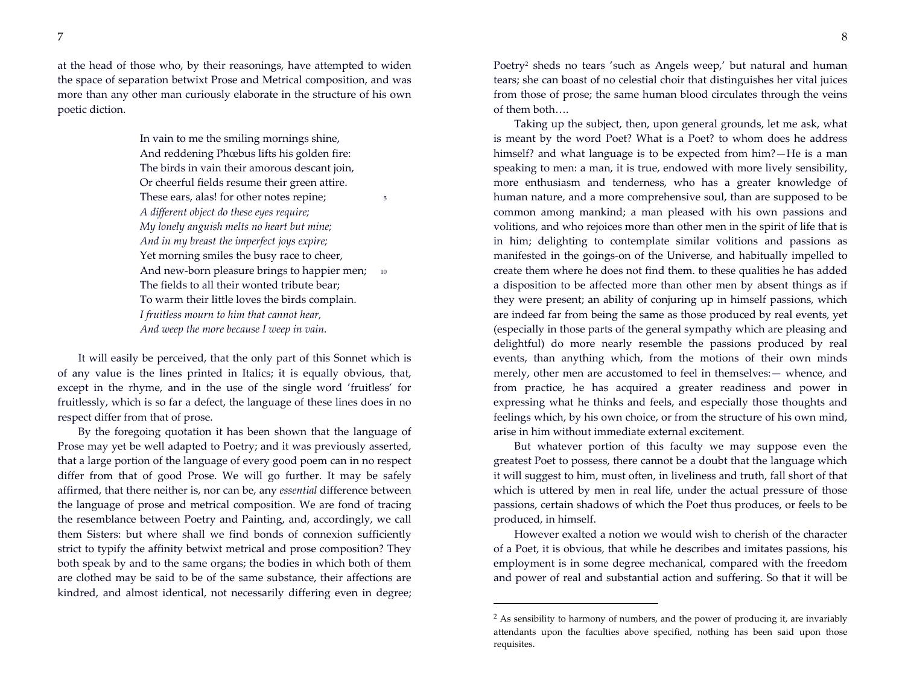at the head of those who, by their reasonings, have attempted to widen the space of separation betwixt Prose and Metrical composition, and was more than any other man curiously elaborate in the structure of his own poetic diction.

> In vain to me the smiling mornings shine, And reddening Phœbus lifts his golden fire: The birds in vain their amorous descant join, Or cheerful fields resume their green attire. These ears, alas! for other notes repine; *A different object do these eyes require; My lonely anguish melts no heart but mine; And in my breast the imperfect joys expire;* Yet morning smiles the busy race to cheer, And new-born pleasure brings to happier men; 10 The fields to all their wonted tribute bear; To warm their little loves the birds complain. *I fruitless mourn to him that cannot hear, And weep the more because I weep in vain.*

It will easily be perceived, that the only part of this Sonnet which is of any value is the lines printed in Italics; it is equally obvious, that, except in the rhyme, and in the use of the single word 'fruitless' for fruitlessly, which is so far a defect, the language of these lines does in no respect differ from that of prose.

By the foregoing quotation it has been shown that the language of Prose may yet be well adapted to Poetry; and it was previously asserted, that a large portion of the language of every good poem can in no respect differ from that of good Prose. We will go further. It may be safely affirmed, that there neither is, nor can be, any *essential* difference between the language of prose and metrical composition. We are fond of tracing the resemblance between Poetry and Painting, and, accordingly, we call them Sisters: but where shall we find bonds of connexion sufficiently strict to typify the affinity betwixt metrical and prose composition? They both speak by and to the same organs; the bodies in which both of them are clothed may be said to be of the same substance, their affections are kindred, and almost identical, not necessarily differing even in degree;

Poetry<sup>2</sup> sheds no tears 'such as Angels weep,' but natural and human tears; she can boast of no celestial choir that distinguishes her vital juices from those of prose; the same human blood circulates through the veins of them both….

Taking up the subject, then, upon general grounds, let me ask, what is meant by the word Poet? What is a Poet? to whom does he address himself? and what language is to be expected from him?—He is a man speaking to men: a man, it is true, endowed with more lively sensibility, more enthusiasm and tenderness, who has a greater knowledge of human nature, and a more comprehensive soul, than are supposed to be common among mankind; a man pleased with his own passions and volitions, and who rejoices more than other men in the spirit of life that is in him; delighting to contemplate similar volitions and passions as manifested in the goings-on of the Universe, and habitually impelled to create them where he does not find them. to these qualities he has added a disposition to be affected more than other men by absent things as if they were present; an ability of conjuring up in himself passions, which are indeed far from being the same as those produced by real events, yet (especially in those parts of the general sympathy which are pleasing and delightful) do more nearly resemble the passions produced by real events, than anything which, from the motions of their own minds merely, other men are accustomed to feel in themselves:— whence, and from practice, he has acquired a greater readiness and power in expressing what he thinks and feels, and especially those thoughts and feelings which, by his own choice, or from the structure of his own mind, arise in him without immediate external excitement.

But whatever portion of this faculty we may suppose even the greatest Poet to possess, there cannot be a doubt that the language which it will suggest to him, must often, in liveliness and truth, fall short of that which is uttered by men in real life, under the actual pressure of those passions, certain shadows of which the Poet thus produces, or feels to be produced, in himself.

However exalted a notion we would wish to cherish of the character of a Poet, it is obvious, that while he describes and imitates passions, his employment is in some degree mechanical, compared with the freedom and power of real and substantial action and suffering. So that it will be

<sup>&</sup>lt;sup>2</sup> As sensibility to harmony of numbers, and the power of producing it, are invariably attendants upon the faculties above specified, nothing has been said upon those requisites.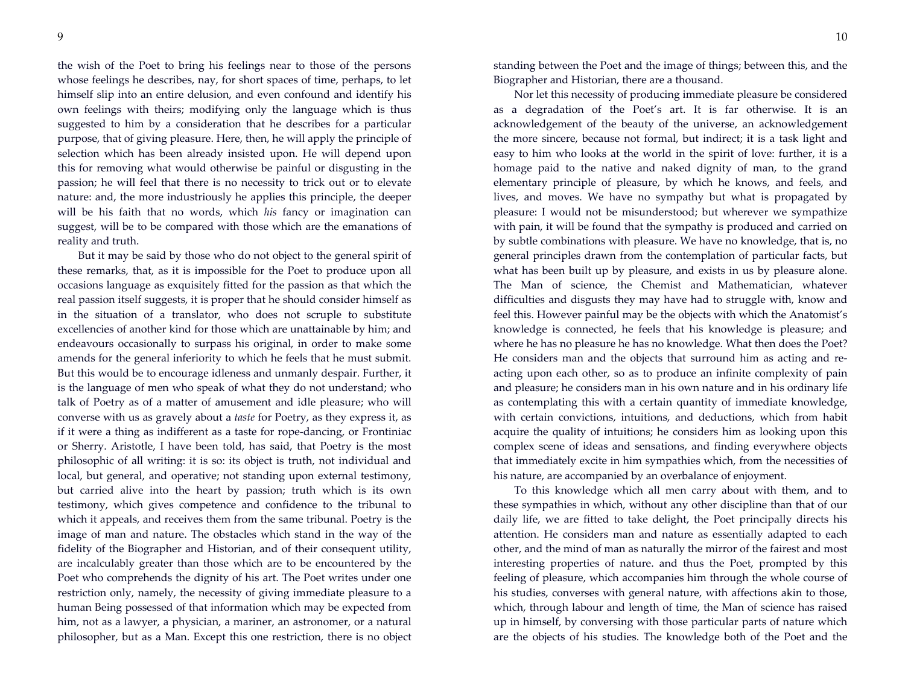the wish of the Poet to bring his feelings near to those of the persons whose feelings he describes, nay, for short spaces of time, perhaps, to let himself slip into an entire delusion, and even confound and identify his own feelings with theirs; modifying only the language which is thus suggested to him by a consideration that he describes for a particular purpose, that of giving pleasure. Here, then, he will apply the principle of selection which has been already insisted upon. He will depend upon this for removing what would otherwise be painful or disgusting in the passion; he will feel that there is no necessity to trick out or to elevate nature: and, the more industriously he applies this principle, the deeper will be his faith that no words, which *his* fancy or imagination can suggest, will be to be compared with those which are the emanations of reality and truth.

But it may be said by those who do not object to the general spirit of these remarks, that, as it is impossible for the Poet to produce upon all occasions language as exquisitely fitted for the passion as that which the real passion itself suggests, it is proper that he should consider himself as in the situation of a translator, who does not scruple to substitute excellencies of another kind for those which are unattainable by him; and endeavours occasionally to surpass his original, in order to make some amends for the general inferiority to which he feels that he must submit. But this would be to encourage idleness and unmanly despair. Further, it is the language of men who speak of what they do not understand; who talk of Poetry as of a matter of amusement and idle pleasure; who will converse with us as gravely about a *taste* for Poetry, as they express it, as if it were a thing as indifferent as a taste for rope-dancing, or Frontiniac or Sherry. Aristotle, I have been told, has said, that Poetry is the most philosophic of all writing: it is so: its object is truth, not individual and local, but general, and operative; not standing upon external testimony, but carried alive into the heart by passion; truth which is its own testimony, which gives competence and confidence to the tribunal to which it appeals, and receives them from the same tribunal. Poetry is the image of man and nature. The obstacles which stand in the way of the fidelity of the Biographer and Historian, and of their consequent utility, are incalculably greater than those which are to be encountered by the Poet who comprehends the dignity of his art. The Poet writes under one restriction only, namely, the necessity of giving immediate pleasure to a human Being possessed of that information which may be expected from him, not as a lawyer, a physician, a mariner, an astronomer, or a natural philosopher, but as a Man. Except this one restriction, there is no object

standing between the Poet and the image of things; between this, and the Biographer and Historian, there are a thousand.

Nor let this necessity of producing immediate pleasure be considered as a degradation of the Poet's art. It is far otherwise. It is an acknowledgement of the beauty of the universe, an acknowledgement the more sincere, because not formal, but indirect; it is a task light and easy to him who looks at the world in the spirit of love: further, it is a homage paid to the native and naked dignity of man, to the grand elementary principle of pleasure, by which he knows, and feels, and lives, and moves. We have no sympathy but what is propagated by pleasure: I would not be misunderstood; but wherever we sympathize with pain, it will be found that the sympathy is produced and carried on by subtle combinations with pleasure. We have no knowledge, that is, no general principles drawn from the contemplation of particular facts, but what has been built up by pleasure, and exists in us by pleasure alone. The Man of science, the Chemist and Mathematician, whatever difficulties and disgusts they may have had to struggle with, know and feel this. However painful may be the objects with which the Anatomist's knowledge is connected, he feels that his knowledge is pleasure; and where he has no pleasure he has no knowledge. What then does the Poet? He considers man and the objects that surround him as acting and reacting upon each other, so as to produce an infinite complexity of pain and pleasure; he considers man in his own nature and in his ordinary life as contemplating this with a certain quantity of immediate knowledge, with certain convictions, intuitions, and deductions, which from habit acquire the quality of intuitions; he considers him as looking upon this complex scene of ideas and sensations, and finding everywhere objects that immediately excite in him sympathies which, from the necessities of his nature, are accompanied by an overbalance of enjoyment.

To this knowledge which all men carry about with them, and to these sympathies in which, without any other discipline than that of our daily life, we are fitted to take delight, the Poet principally directs his attention. He considers man and nature as essentially adapted to each other, and the mind of man as naturally the mirror of the fairest and most interesting properties of nature. and thus the Poet, prompted by this feeling of pleasure, which accompanies him through the whole course of his studies, converses with general nature, with affections akin to those, which, through labour and length of time, the Man of science has raised up in himself, by conversing with those particular parts of nature which are the objects of his studies. The knowledge both of the Poet and the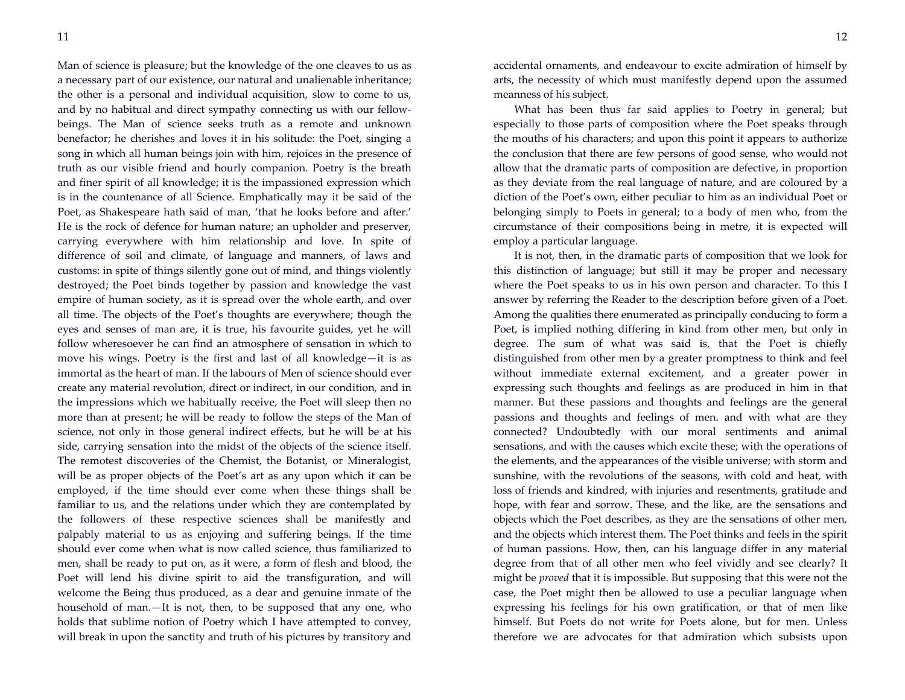Man of science is pleasure; but the knowledge of the one cleaves to us as a necessary part of our existence, our natural and unalienable inheritance; the other is a personal and individual acquisition, slow to come to us, and by no habitual and direct sympathy connecting us with our fellowbeings. The Man of science seeks truth as a remote and unknown benefactor; he cherishes and loves it in his solitude: the Poet, singing a song in which all human beings join with him, rejoices in the presence of truth as our visible friend and hourly companion. Poetry is the breath and finer spirit of all knowledge; it is the impassioned expression which is in the countenance of all Science. Emphatically may it be said of the Poet, as Shakespeare hath said of man, 'that he looks before and after.' He is the rock of defence for human nature; an upholder and preserver, carrying everywhere with him relationship and love. In spite of difference of soil and climate, of language and manners, of laws and customs: in spite of things silently gone out of mind, and things violently destroyed; the Poet binds together by passion and knowledge the vast empire of human society, as it is spread over the whole earth, and over all time. The objects of the Poet's thoughts are everywhere; though the eyes and senses of man are, it is true, his favourite guides, yet he will follow wheresoever he can find an atmosphere of sensation in which to move his wings. Poetry is the first and last of all knowledge—it is as immortal as the heart of man. If the labours of Men of science should ever create any material revolution, direct or indirect, in our condition, and in the impressions which we habitually receive, the Poet will sleep then no more than at present; he will be ready to follow the steps of the Man of science, not only in those general indirect effects, but he will be at his side, carrying sensation into the midst of the objects of the science itself. The remotest discoveries of the Chemist, the Botanist, or Mineralogist, will be as proper objects of the Poet's art as any upon which it can be employed, if the time should ever come when these things shall be familiar to us, and the relations under which they are contemplated by the followers of these respective sciences shall be manifestly and palpably material to us as enjoying and suffering beings. If the time should ever come when what is now called science, thus familiarized to men, shall be ready to put on, as it were, a form of flesh and blood, the Poet will lend his divine spirit to aid the transfiguration, and will welcome the Being thus produced, as a dear and genuine inmate of the household of man.—It is not, then, to be supposed that any one, who holds that sublime notion of Poetry which I have attempted to convey, will break in upon the sanctity and truth of his pictures by transitory and

accidental ornaments, and endeavour to excite admiration of himself by arts, the necessity of which must manifestly depend upon the assumed meanness of his subject.

What has been thus far said applies to Poetry in general; but especially to those parts of composition where the Poet speaks through the mouths of his characters; and upon this point it appears to authorize the conclusion that there are few persons of good sense, who would not allow that the dramatic parts of composition are defective, in proportion as they deviate from the real language of nature, and are coloured by a diction of the Poet's own, either peculiar to him as an individual Poet or belonging simply to Poets in general; to a body of men who, from the circumstance of their compositions being in metre, it is expected will employ a particular language.

It is not, then, in the dramatic parts of composition that we look for this distinction of language; but still it may be proper and necessary where the Poet speaks to us in his own person and character. To this I answer by referring the Reader to the description before given of a Poet. Among the qualities there enumerated as principally conducing to form a Poet, is implied nothing differing in kind from other men, but only in degree. The sum of what was said is, that the Poet is chiefly distinguished from other men by a greater promptness to think and feel without immediate external excitement, and a greater power in expressing such thoughts and feelings as are produced in him in that manner. But these passions and thoughts and feelings are the general passions and thoughts and feelings of men. and with what are they connected? Undoubtedly with our moral sentiments and animal sensations, and with the causes which excite these; with the operations of the elements, and the appearances of the visible universe; with storm and sunshine, with the revolutions of the seasons, with cold and heat, with loss of friends and kindred, with injuries and resentments, gratitude and hope, with fear and sorrow. These, and the like, are the sensations and objects which the Poet describes, as they are the sensations of other men, and the objects which interest them. The Poet thinks and feels in the spirit of human passions. How, then, can his language differ in any material degree from that of all other men who feel vividly and see clearly? It might be *proved* that it is impossible. But supposing that this were not the case, the Poet might then be allowed to use a peculiar language when expressing his feelings for his own gratification, or that of men like himself. But Poets do not write for Poets alone, but for men. Unless therefore we are advocates for that admiration which subsists upon